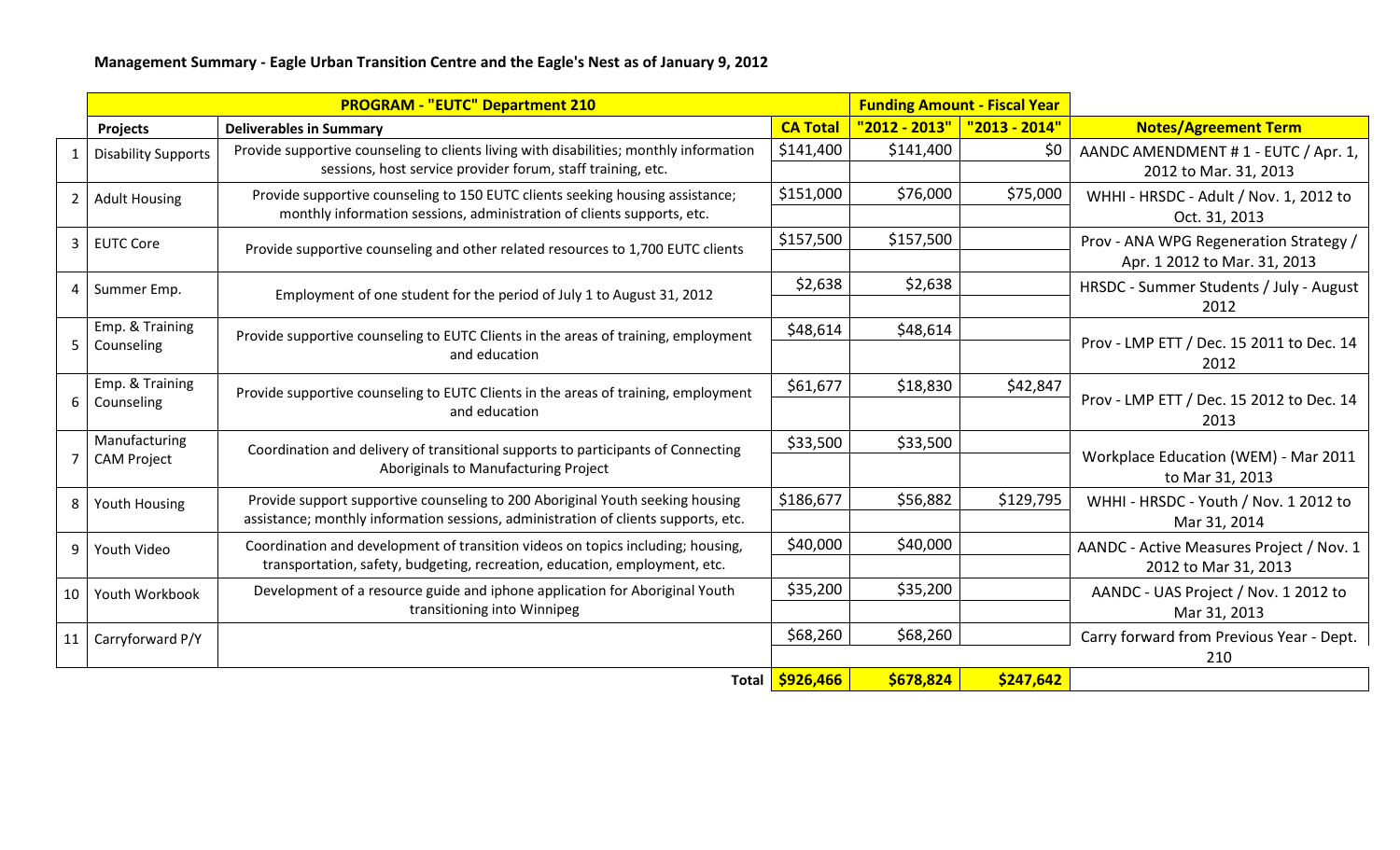|                 | <b>PROGRAM - "EUTC" Department 210</b> |                                                                                                                                                                     |                 | <b>Funding Amount - Fiscal Year</b> |                            |                                                                        |
|-----------------|----------------------------------------|---------------------------------------------------------------------------------------------------------------------------------------------------------------------|-----------------|-------------------------------------|----------------------------|------------------------------------------------------------------------|
|                 | Projects                               | <b>Deliverables in Summary</b>                                                                                                                                      | <b>CA Total</b> | "2012 - 2013"                       | <mark>"2013 - 2014"</mark> | <b>Notes/Agreement Term</b>                                            |
| $\mathbf{1}$    | <b>Disability Supports</b>             | Provide supportive counseling to clients living with disabilities; monthly information<br>sessions, host service provider forum, staff training, etc.               | \$141,400       | \$141,400                           | \$0                        | AANDC AMENDMENT #1 - EUTC / Apr. 1,<br>2012 to Mar. 31, 2013           |
| $2^{\circ}$     | <b>Adult Housing</b>                   | Provide supportive counseling to 150 EUTC clients seeking housing assistance;<br>monthly information sessions, administration of clients supports, etc.             | \$151,000       | \$76,000                            | \$75,000                   | WHHI - HRSDC - Adult / Nov. 1, 2012 to<br>Oct. 31, 2013                |
|                 | 3 EUTC Core                            | Provide supportive counseling and other related resources to 1,700 EUTC clients                                                                                     | \$157,500       | \$157,500                           |                            | Prov - ANA WPG Regeneration Strategy /<br>Apr. 1 2012 to Mar. 31, 2013 |
| 4               | Summer Emp.                            | Employment of one student for the period of July 1 to August 31, 2012                                                                                               | \$2,638         | \$2,638                             |                            | HRSDC - Summer Students / July - August<br>2012                        |
| 5               | Emp. & Training<br>Counseling          | Provide supportive counseling to EUTC Clients in the areas of training, employment<br>and education                                                                 | \$48,614        | \$48,614                            |                            | Prov - LMP ETT / Dec. 15 2011 to Dec. 14<br>2012                       |
| 6               | Emp. & Training<br>Counseling          | Provide supportive counseling to EUTC Clients in the areas of training, employment<br>and education                                                                 | \$61,677        | \$18,830                            | \$42,847                   | Prov - LMP ETT / Dec. 15 2012 to Dec. 14<br>2013                       |
|                 | Manufacturing<br><b>CAM Project</b>    | Coordination and delivery of transitional supports to participants of Connecting<br>Aboriginals to Manufacturing Project                                            | \$33,500        | \$33,500                            |                            | Workplace Education (WEM) - Mar 2011<br>to Mar 31, 2013                |
| 8               | <b>Youth Housing</b>                   | Provide support supportive counseling to 200 Aboriginal Youth seeking housing<br>assistance; monthly information sessions, administration of clients supports, etc. | \$186,677       | \$56,882                            | \$129,795                  | WHHI - HRSDC - Youth / Nov. 1 2012 to<br>Mar 31, 2014                  |
| 9               | Youth Video                            | Coordination and development of transition videos on topics including; housing,<br>transportation, safety, budgeting, recreation, education, employment, etc.       | \$40,000        | \$40,000                            |                            | AANDC - Active Measures Project / Nov. 1<br>2012 to Mar 31, 2013       |
| 10 <sup>1</sup> | Youth Workbook                         | Development of a resource guide and iphone application for Aboriginal Youth<br>transitioning into Winnipeg                                                          | \$35,200        | \$35,200                            |                            | AANDC - UAS Project / Nov. 1 2012 to<br>Mar 31, 2013                   |
| 11              | Carryforward P/Y                       |                                                                                                                                                                     | \$68,260        | \$68,260                            |                            | Carry forward from Previous Year - Dept.<br>210                        |
|                 |                                        |                                                                                                                                                                     | Total 5926,466  | \$678,824                           | \$247,642                  |                                                                        |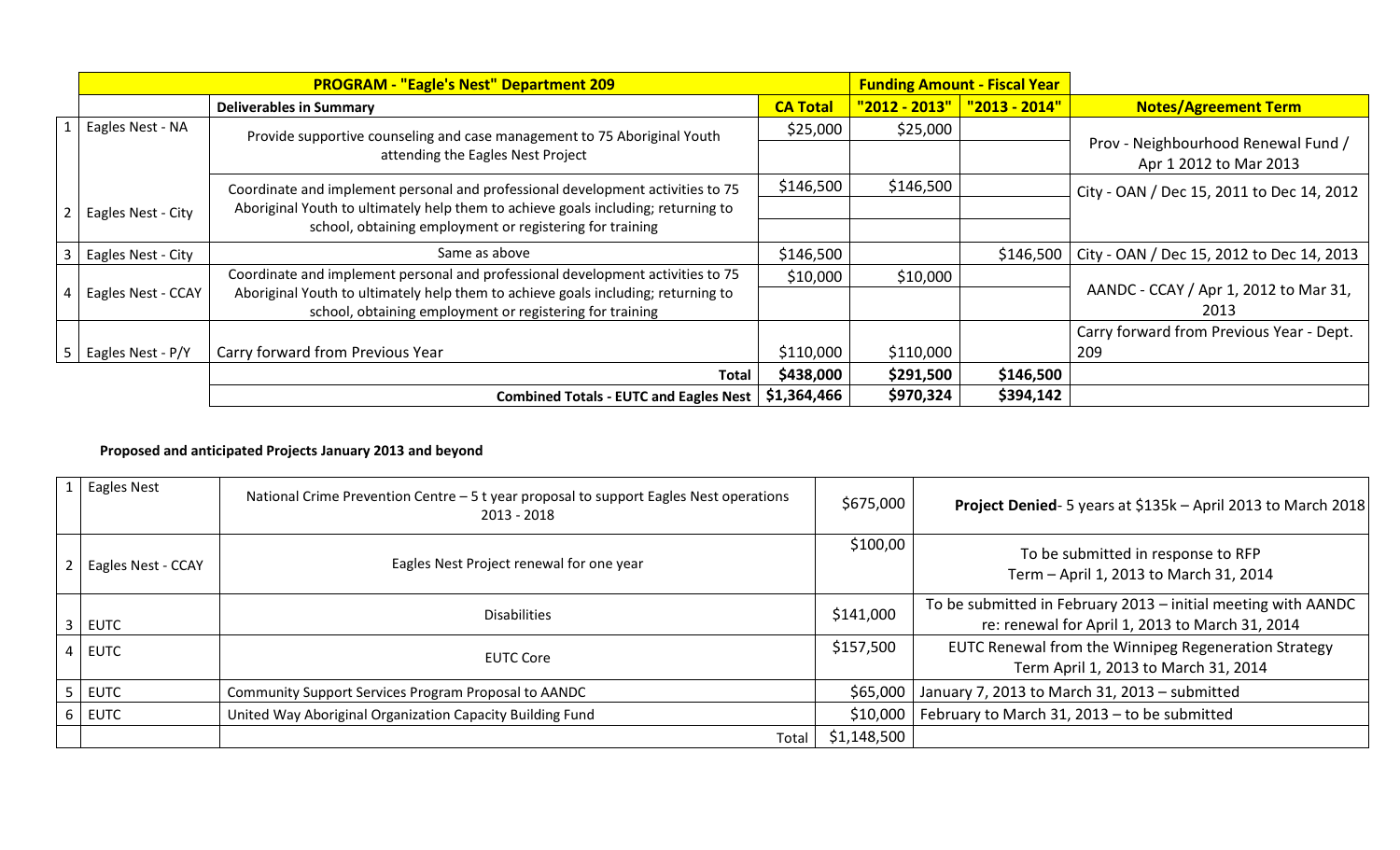| <b>PROGRAM - "Eagle's Nest" Department 209</b> |                                                                                   |                 | <b>Funding Amount - Fiscal Year</b> |                       |                                                               |
|------------------------------------------------|-----------------------------------------------------------------------------------|-----------------|-------------------------------------|-----------------------|---------------------------------------------------------------|
|                                                | <b>Deliverables in Summary</b>                                                    | <b>CA Total</b> | "2012 - 2013"                       | <u> "2013 - 2014"</u> | <b>Notes/Agreement Term</b>                                   |
| 1   Eagles Nest - NA                           | Provide supportive counseling and case management to 75 Aboriginal Youth          | \$25,000        | \$25,000                            |                       |                                                               |
|                                                | attending the Eagles Nest Project                                                 |                 |                                     |                       | Prov - Neighbourhood Renewal Fund /<br>Apr 1 2012 to Mar 2013 |
|                                                | Coordinate and implement personal and professional development activities to 75   | \$146,500       | \$146,500                           |                       | City - OAN / Dec 15, 2011 to Dec 14, 2012                     |
| 2   Eagles Nest - City                         | Aboriginal Youth to ultimately help them to achieve goals including; returning to |                 |                                     |                       |                                                               |
|                                                | school, obtaining employment or registering for training                          |                 |                                     |                       |                                                               |
| Eagles Nest - City                             | Same as above                                                                     | \$146,500       |                                     | \$146,500             | City - OAN / Dec 15, 2012 to Dec 14, 2013                     |
|                                                | Coordinate and implement personal and professional development activities to 75   | \$10,000        | \$10,000                            |                       |                                                               |
| 4   Eagles Nest - CCAY                         | Aboriginal Youth to ultimately help them to achieve goals including; returning to |                 |                                     |                       | AANDC - CCAY / Apr 1, 2012 to Mar 31,                         |
|                                                | school, obtaining employment or registering for training                          |                 |                                     |                       | 2013                                                          |
|                                                |                                                                                   |                 |                                     |                       | Carry forward from Previous Year - Dept.                      |
| 5   Eagles Nest - P/Y                          | Carry forward from Previous Year                                                  | \$110,000       | \$110,000                           |                       | 209                                                           |
|                                                | <b>Total</b>                                                                      | \$438,000       | \$291,500                           | \$146,500             |                                                               |
|                                                | <b>Combined Totals - EUTC and Eagles Nest</b>                                     | \$1,364,466     | \$970,324                           | \$394,142             |                                                               |

## **Proposed and anticipated Projects January 2013 and beyond**

| $1$ Eagles Nest        | National Crime Prevention Centre - 5 t year proposal to support Eagles Nest operations<br>2013 - 2018 | \$675,000   | Project Denied-5 years at \$135k - April 2013 to March 2018                                                      |
|------------------------|-------------------------------------------------------------------------------------------------------|-------------|------------------------------------------------------------------------------------------------------------------|
| 2   Eagles Nest - CCAY | Eagles Nest Project renewal for one year                                                              | \$100,00    | To be submitted in response to RFP<br>Term - April 1, 2013 to March 31, 2014                                     |
| $3$ EUTC               | <b>Disabilities</b>                                                                                   | \$141,000   | To be submitted in February 2013 - initial meeting with AANDC<br>re: renewal for April 1, 2013 to March 31, 2014 |
| $4$ EUTC               | <b>EUTC Core</b>                                                                                      | \$157,500   | EUTC Renewal from the Winnipeg Regeneration Strategy<br>Term April 1, 2013 to March 31, 2014                     |
| $5$ EUTC               | Community Support Services Program Proposal to AANDC                                                  |             | \$65,000   January 7, 2013 to March 31, 2013 - submitted                                                         |
| $6$ EUTC               | United Way Aboriginal Organization Capacity Building Fund                                             | \$10,000    | February to March 31, 2013 - to be submitted                                                                     |
|                        | Total                                                                                                 | \$1,148,500 |                                                                                                                  |